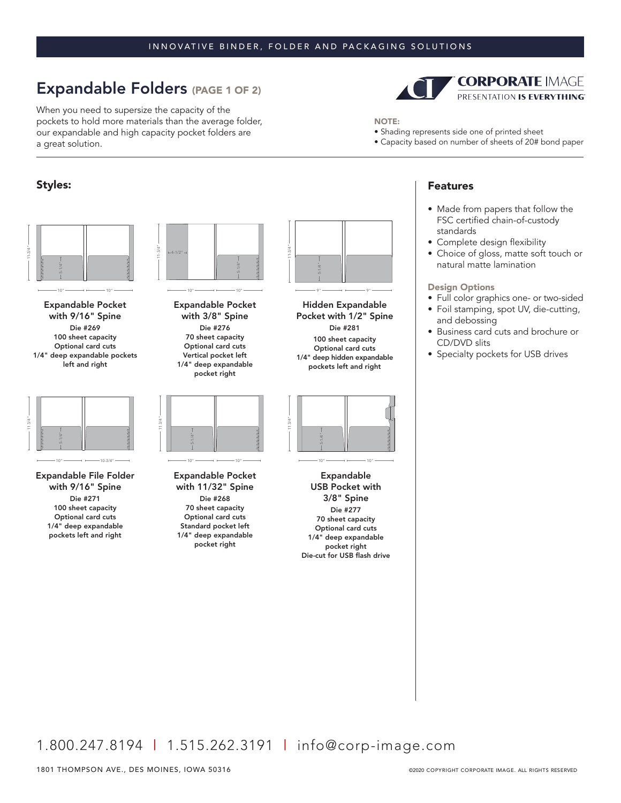### INNOVATIVE BINDER, FOLDER AND PACKAGING SOLUTIONS

# Expandable Folders (PAGE 1 OF 2)

When you need to supersize the capacity of the pockets to hold more materials than the average folder, our expandable and high capacity pocket folders are a great solution.

## Styles:



 $10"$  10"  $10"$  10"  $10"$  10"  $10"$  10"  $10"$ 

Expandable Pocket with 9/16" Spine Die #269 100 sheet capacity Optional card cuts 1/4" deep expandable pockets left and right



Expandable File Folder with 9/16" Spine Die #271 100 sheet capacity Optional card cuts 1/4" deep expandable pockets left and right



Expandable Pocket with 3/8" Spine Die #276 70 sheet capacity Optional card cuts Vertical pocket left 1/4" deep expandable pocket right



Expandable Pocket with 11/32" Spine Die #268 70 sheet capacity Optional card cuts Standard pocket left 1/4" deep expandable pocket right



NOTE:

Hidden Expandable Pocket with 1/2" Spine Die #281 100 sheet capacity Optional card cuts 1/4" deep hidden expandable pockets left and right



 $10" \longrightarrow 10"$ 

Expandable USB Pocket with 3/8" Spine Die #277 70 sheet capacity Optional card cuts 1/4" deep expandable pocket right Die-cut for USB flash drive



• Shading represents side one of printed sheet

ï Capacity based on number of sheets of 20# bond paper

• Made from papers that follow the FSC certified chain-of-custody standards

**CORPORATE IMAGE** PRESENTATION IS EVERYTHING

- Complete design flexibility
- Choice of gloss, matte soft touch or natural matte lamination

#### Design Options

- Full color graphics one- or two-sided
- Foil stamping, spot UV, die-cutting, and debossing
- Business card cuts and brochure or CD/DVD slits
- Specialty pockets for USB drives

1.800.247.8194 | 1.515.262.3191 | info@corp-image.com